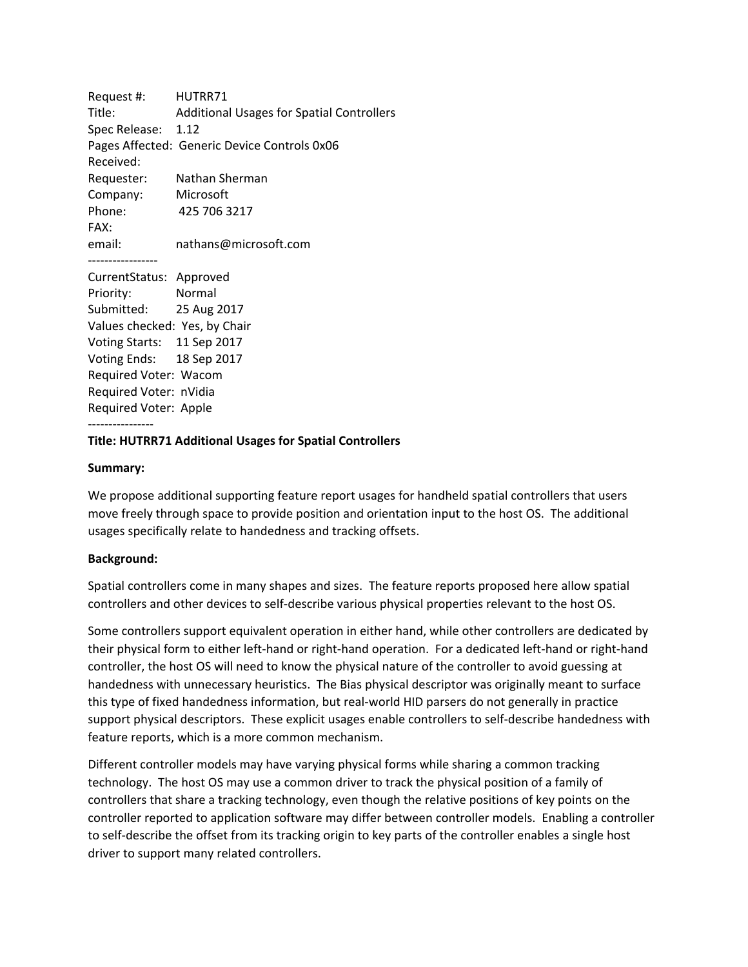Request #: HUTRR71 Title: Additional Usages for Spatial Controllers Spec Release: 1.12 Pages Affected: Generic Device Controls 0x06 Received: Requester: Nathan Sherman Company: Microsoft Phone: 425 706 3217 FAX: email: nathans@microsoft.com ----------------- CurrentStatus: Approved Priority: Normal Submitted: 25 Aug 2017 Values checked: Yes, by Chair Voting Starts: 11 Sep 2017 Voting Ends: 18 Sep 2017

Required Voter: Apple

Required Voter: Wacom Required Voter: nVidia

#### ---------------- **Title: HUTRR71 Additional Usages for Spatial Controllers**

#### **Summary:**

We propose additional supporting feature report usages for handheld spatial controllers that users move freely through space to provide position and orientation input to the host OS. The additional usages specifically relate to handedness and tracking offsets.

#### **Background:**

Spatial controllers come in many shapes and sizes. The feature reports proposed here allow spatial controllers and other devices to self-describe various physical properties relevant to the host OS.

Some controllers support equivalent operation in either hand, while other controllers are dedicated by their physical form to either left-hand or right-hand operation. For a dedicated left-hand or right-hand controller, the host OS will need to know the physical nature of the controller to avoid guessing at handedness with unnecessary heuristics. The Bias physical descriptor was originally meant to surface this type of fixed handedness information, but real-world HID parsers do not generally in practice support physical descriptors. These explicit usages enable controllers to self-describe handedness with feature reports, which is a more common mechanism.

Different controller models may have varying physical forms while sharing a common tracking technology. The host OS may use a common driver to track the physical position of a family of controllers that share a tracking technology, even though the relative positions of key points on the controller reported to application software may differ between controller models. Enabling a controller to self-describe the offset from its tracking origin to key parts of the controller enables a single host driver to support many related controllers.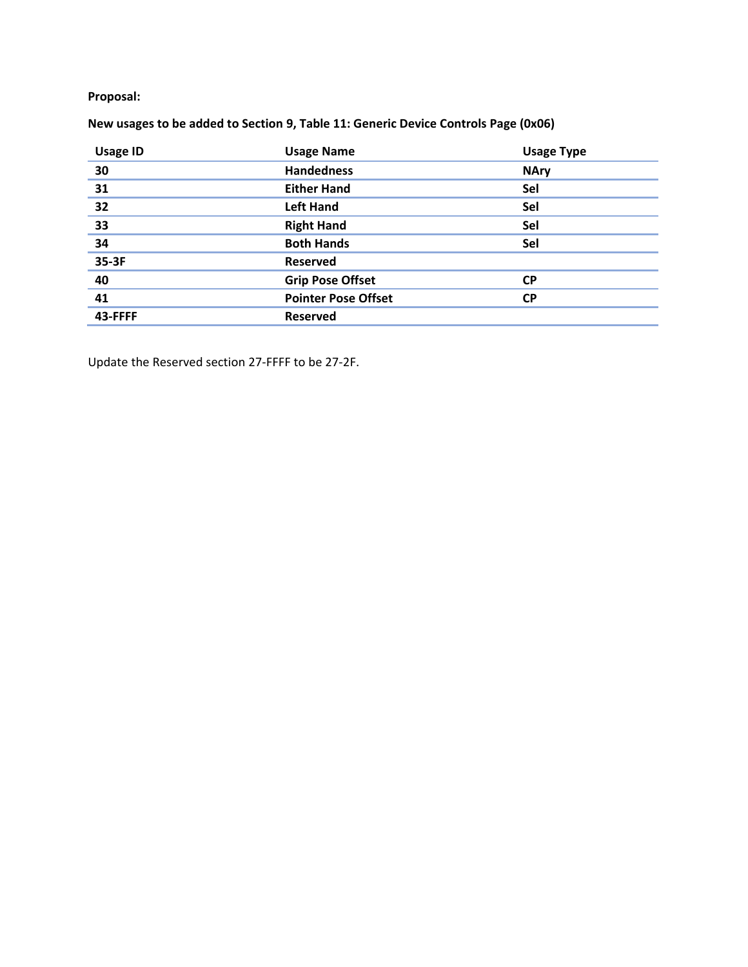## **Proposal:**

# **New usages to be added to Section 9, Table 11: Generic Device Controls Page (0x06)**

| <b>Usage ID</b> | <b>Usage Name</b>          | <b>Usage Type</b> |
|-----------------|----------------------------|-------------------|
| 30              | <b>Handedness</b>          | <b>NAry</b>       |
| 31              | <b>Either Hand</b>         | Sel               |
| $\overline{32}$ | <b>Left Hand</b>           | Sel               |
| <b>33</b>       | <b>Right Hand</b>          | Sel               |
| $\overline{34}$ | <b>Both Hands</b>          | Sel               |
| 35-3F           | <b>Reserved</b>            |                   |
| 40              | <b>Grip Pose Offset</b>    | <b>CP</b>         |
| 41              | <b>Pointer Pose Offset</b> | <b>CP</b>         |
| 43-FFFF         | <b>Reserved</b>            |                   |

Update the Reserved section 27-FFFF to be 27-2F.